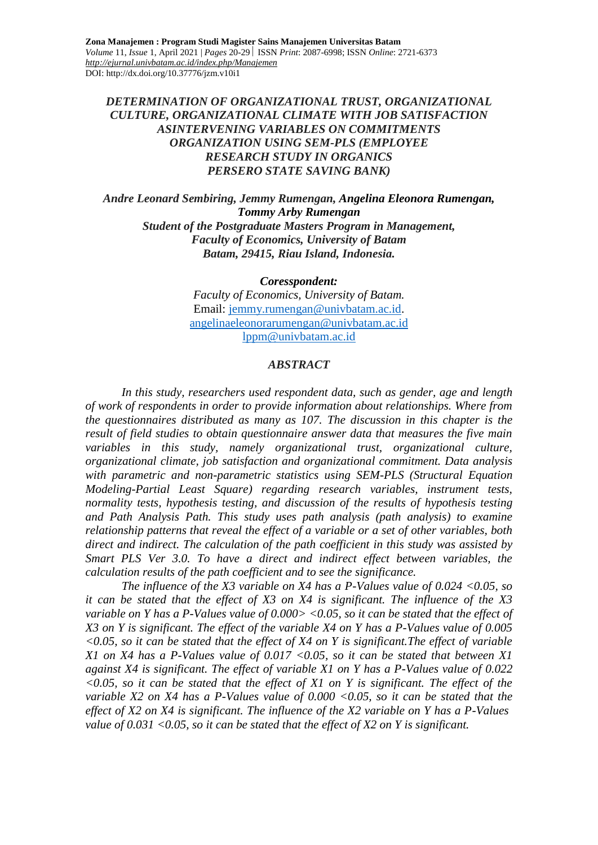### *DETERMINATION OF ORGANIZATIONAL TRUST, ORGANIZATIONAL CULTURE, ORGANIZATIONAL CLIMATE WITH JOB SATISFACTION ASINTERVENING VARIABLES ON COMMITMENTS ORGANIZATION USING SEM-PLS (EMPLOYEE RESEARCH STUDY IN ORGANICS PERSERO STATE SAVING BANK)*

*Andre Leonard Sembiring, Jemmy Rumengan, Angelina Eleonora Rumengan, Tommy Arby Rumengan Student of the Postgraduate Masters Program in Management, Faculty of Economics, University of Batam Batam, 29415, Riau Island, Indonesia.*

#### *Coresspondent:*

*Faculty of Economics, University of Batam.* Email: [jemmy.rumengan@univbatam.ac.id.](mailto:jemmy.rumengan@univbatam.ac.id) [angelinaeleonorarumengan@univbatam.ac.id](mailto:angelinaeleonorarumengan@univbatam.ac.id) [lppm@univbatam.ac.id](mailto:lppm@univbatam.ac.id)

#### *ABSTRACT*

*In this study, researchers used respondent data, such as gender, age and length of work of respondents in order to provide information about relationships. Where from the questionnaires distributed as many as 107. The discussion in this chapter is the result of field studies to obtain questionnaire answer data that measures the five main*  variables in this study, namely organizational trust, organizational culture, *organizational climate, job satisfaction and organizational commitment. Data analysis with parametric and non-parametric statistics using SEM-PLS (Structural Equation Modeling-Partial Least Square) regarding research variables, instrument tests, normality tests, hypothesis testing, and discussion of the results of hypothesis testing and Path Analysis Path. This study uses path analysis (path analysis) to examine relationship patterns that reveal the effect of a variable or a set of other variables, both direct and indirect. The calculation of the path coefficient in this study was assisted by Smart PLS Ver 3.0. To have a direct and indirect effect between variables, the calculation results of the path coefficient and to see the significance.*

*The influence of the X3 variable on X4 has a P-Values value of 0.024 <0.05, so it can be stated that the effect of X3 on X4 is significant. The influence of the X3 variable on Y has a P-Values value of 0.000> <0.05, so it can be stated that the effect of X3 on Y is significant. The effect of the variable X4 on Y has a P-Values value of 0.005 <0.05, so it can be stated that the effect of X4 on Y is significant.The effect of variable X1 on X4 has a P-Values value of 0.017 <0.05, so it can be stated that between X1 against X4 is significant. The effect of variable X1 on Y has a P-Values value of 0.022 <0.05, so it can be stated that the effect of X1 on Y is significant. The effect of the variable X2 on X4 has a P-Values value of 0.000 <0.05, so it can be stated that the effect of X2 on X4 is significant. The influence of the X2 variable on Y has a P-Values value of 0.031 <0.05, so it can be stated that the effect of X2 on Y is significant.*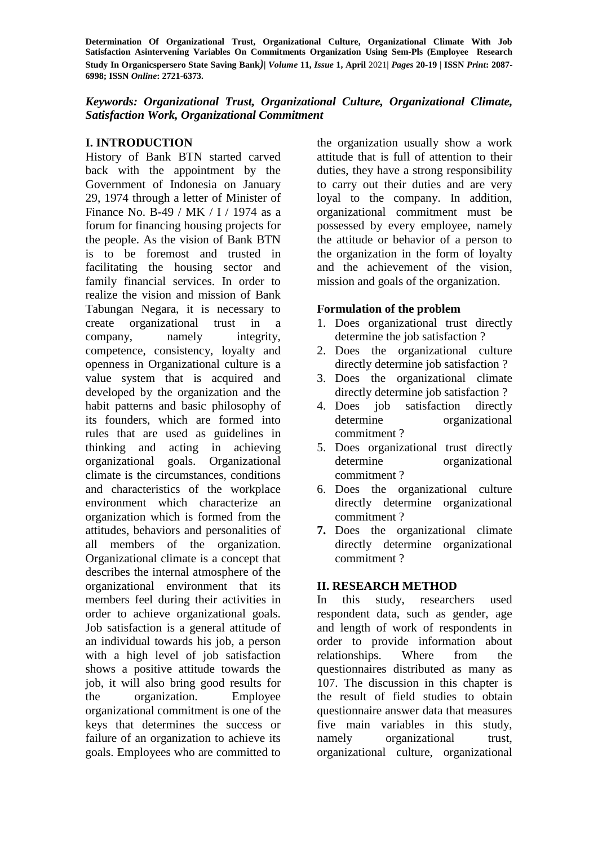## *Keywords: Organizational Trust, Organizational Culture, Organizational Climate, Satisfaction Work, Organizational Commitment*

# **I. INTRODUCTION**

History of Bank BTN started carved back with the appointment by the Government of Indonesia on January 29, 1974 through a letter of Minister of Finance No. B-49 / MK / I / 1974 as a forum for financing housing projects for the people. As the vision of Bank BTN is to be foremost and trusted in facilitating the housing sector and family financial services. In order to realize the vision and mission of Bank Tabungan Negara, it is necessary to create organizational trust in a company, namely integrity, competence, consistency, loyalty and openness in Organizational culture is a value system that is acquired and developed by the organization and the habit patterns and basic philosophy of its founders, which are formed into rules that are used as guidelines in thinking and acting in achieving organizational goals. Organizational climate is the circumstances, conditions and characteristics of the workplace environment which characterize an organization which is formed from the attitudes, behaviors and personalities of all members of the organization. Organizational climate is a concept that describes the internal atmosphere of the organizational environment that its members feel during their activities in order to achieve organizational goals. Job satisfaction is a general attitude of an individual towards his job, a person with a high level of job satisfaction shows a positive attitude towards the job, it will also bring good results for the organization. Employee organizational commitment is one of the keys that determines the success or failure of an organization to achieve its goals. Employees who are committed to the organization usually show a work attitude that is full of attention to their duties, they have a strong responsibility to carry out their duties and are very loyal to the company. In addition, organizational commitment must be possessed by every employee, namely the attitude or behavior of a person to the organization in the form of loyalty and the achievement of the vision, mission and goals of the organization.

### **Formulation of the problem**

- 1. Does organizational trust directly determine the job satisfaction ?
- 2. Does the organizational culture directly determine job satisfaction ?
- 3. Does the organizational climate directly determine job satisfaction ?
- 4. Does job satisfaction directly determine organizational commitment ?
- 5. Does organizational trust directly determine organizational commitment ?
- 6. Does the organizational culture directly determine organizational commitment ?
- **7.** Does the organizational climate directly determine organizational commitment ?

### **II. RESEARCH METHOD**

In this study, researchers used respondent data, such as gender, age and length of work of respondents in order to provide information about relationships. Where from the questionnaires distributed as many as 107. The discussion in this chapter is the result of field studies to obtain questionnaire answer data that measures five main variables in this study, namely organizational trust. organizational culture, organizational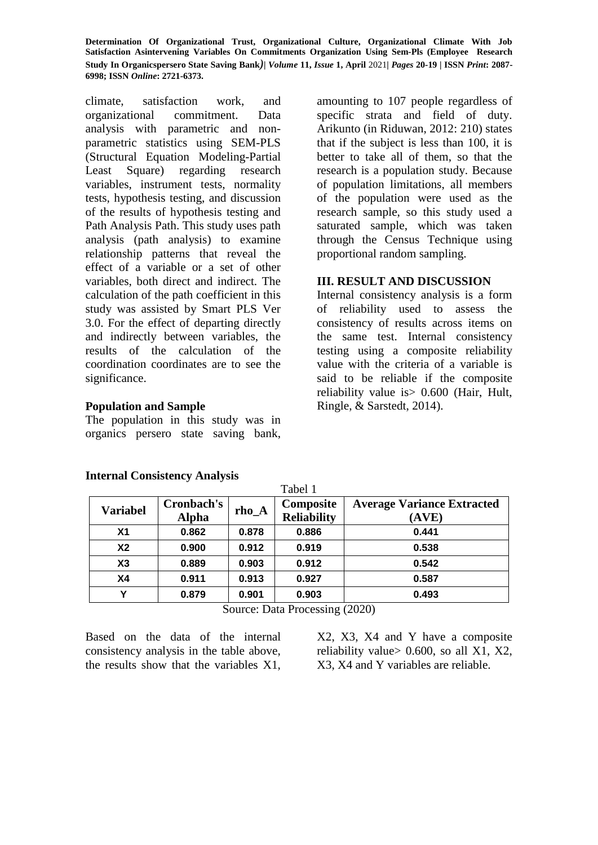climate, satisfaction work, and organizational commitment. Data analysis with parametric and nonparametric statistics using SEM-PLS (Structural Equation Modeling-Partial Least Square) regarding research variables, instrument tests, normality tests, hypothesis testing, and discussion of the results of hypothesis testing and Path Analysis Path. This study uses path analysis (path analysis) to examine relationship patterns that reveal the effect of a variable or a set of other variables, both direct and indirect. The calculation of the path coefficient in this study was assisted by Smart PLS Ver 3.0. For the effect of departing directly and indirectly between variables, the results of the calculation of the coordination coordinates are to see the significance.

### **Population and Sample**

The population in this study was in organics persero state saving bank,

amounting to 107 people regardless of specific strata and field of duty. Arikunto (in Riduwan, 2012: 210) states that if the subject is less than 100, it is better to take all of them, so that the research is a population study. Because of population limitations, all members of the population were used as the research sample, so this study used a saturated sample, which was taken through the Census Technique using proportional random sampling.

### **III. RESULT AND DISCUSSION**

Internal consistency analysis is a form of reliability used to assess the consistency of results across items on the same test. Internal consistency testing using a composite reliability value with the criteria of a variable is said to be reliable if the composite reliability value is> 0.600 (Hair, Hult, Ringle, & Sarstedt, 2014).

| <b>Variabel</b> | Cronbach's<br><b>Alpha</b> | $rho_A$ | Composite<br><b>Reliability</b> | <b>Average Variance Extracted</b><br>(AVE) |
|-----------------|----------------------------|---------|---------------------------------|--------------------------------------------|
| Χ1              | 0.862                      | 0.878   | 0.886                           | 0.441                                      |
| <b>X2</b>       | 0.900                      | 0.912   | 0.919                           | 0.538                                      |
| X3              | 0.889                      | 0.903   | 0.912                           | 0.542                                      |
| <b>X4</b>       | 0.911                      | 0.913   | 0.927                           | 0.587                                      |
| v               | 0.879                      | 0.901   | 0.903                           | 0.493                                      |

Tabel 1

### **Internal Consistency Analysis**

Source: Data Processing (2020)

Based on the data of the internal consistency analysis in the table above, the results show that the variables X1, X2, X3, X4 and Y have a composite reliability value  $> 0.600$ , so all X1, X2, X3, X4 and Y variables are reliable.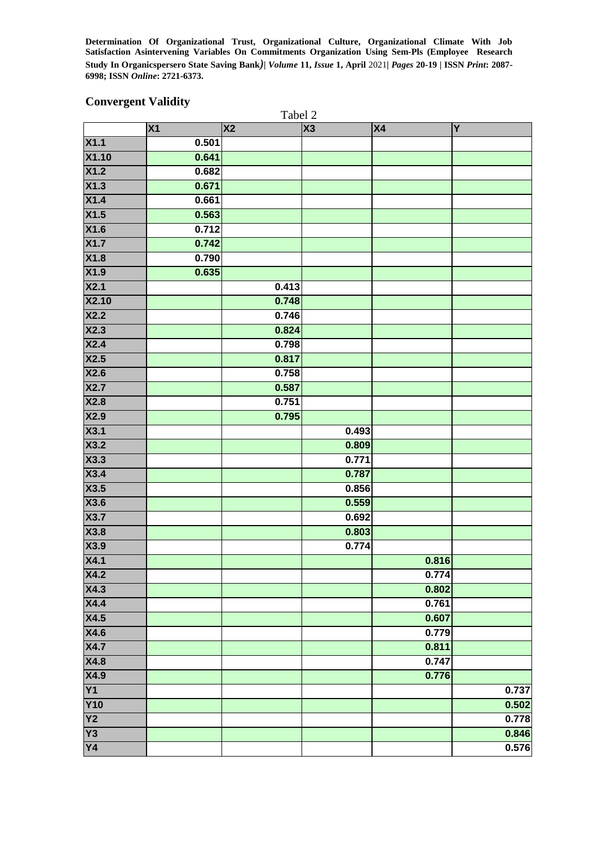# **Convergent Validity**

|                   | Tabel 2 |           |       |           |       |
|-------------------|---------|-----------|-------|-----------|-------|
|                   | X1      | <b>X2</b> | X3    | <b>X4</b> | Y     |
| X1.1              | 0.501   |           |       |           |       |
| <b>X1.10</b>      | 0.641   |           |       |           |       |
| X1.2              | 0.682   |           |       |           |       |
| X1.3              | 0.671   |           |       |           |       |
| X1.4              | 0.661   |           |       |           |       |
| X1.5              | 0.563   |           |       |           |       |
| X1.6              | 0.712   |           |       |           |       |
| X1.7              | 0.742   |           |       |           |       |
| X1.8              | 0.790   |           |       |           |       |
| <b>X1.9</b>       | 0.635   |           |       |           |       |
| X2.1              |         | 0.413     |       |           |       |
| <b>X2.10</b>      |         | 0.748     |       |           |       |
| X2.2              |         | 0.746     |       |           |       |
| X2.3              |         | 0.824     |       |           |       |
| X2.4              |         | 0.798     |       |           |       |
| X2.5              |         | 0.817     |       |           |       |
| X2.6              |         | 0.758     |       |           |       |
| X2.7              |         | 0.587     |       |           |       |
| X2.8              |         | 0.751     |       |           |       |
| X2.9              |         | 0.795     |       |           |       |
| X3.1              |         |           | 0.493 |           |       |
| X3.2              |         |           | 0.809 |           |       |
| X3.3              |         |           | 0.771 |           |       |
| X3.4              |         |           | 0.787 |           |       |
| X3.5              |         |           | 0.856 |           |       |
| X3.6              |         |           | 0.559 |           |       |
| X3.7              |         |           | 0.692 |           |       |
| X3.8              |         |           | 0.803 |           |       |
| X3.9              |         |           | 0.774 |           |       |
| X4.1              |         |           |       | 0.816     |       |
| X4.2              |         |           |       | 0.774     |       |
| $\overline{X4.3}$ |         |           |       | 0.802     |       |
| X4.4              |         |           |       | 0.761     |       |
| $\overline{X4.5}$ |         |           |       | 0.607     |       |
| X4.6              |         |           |       | 0.779     |       |
| X4.7              |         |           |       | 0.811     |       |
| X4.8              |         |           |       | 0.747     |       |
| X4.9              |         |           |       | 0.776     |       |
| Y1                |         |           |       |           | 0.737 |
| <b>Y10</b>        |         |           |       |           | 0.502 |
| $\overline{Y2}$   |         |           |       |           | 0.778 |
| $\overline{Y3}$   |         |           |       |           | 0.846 |
| <b>Y4</b>         |         |           |       |           | 0.576 |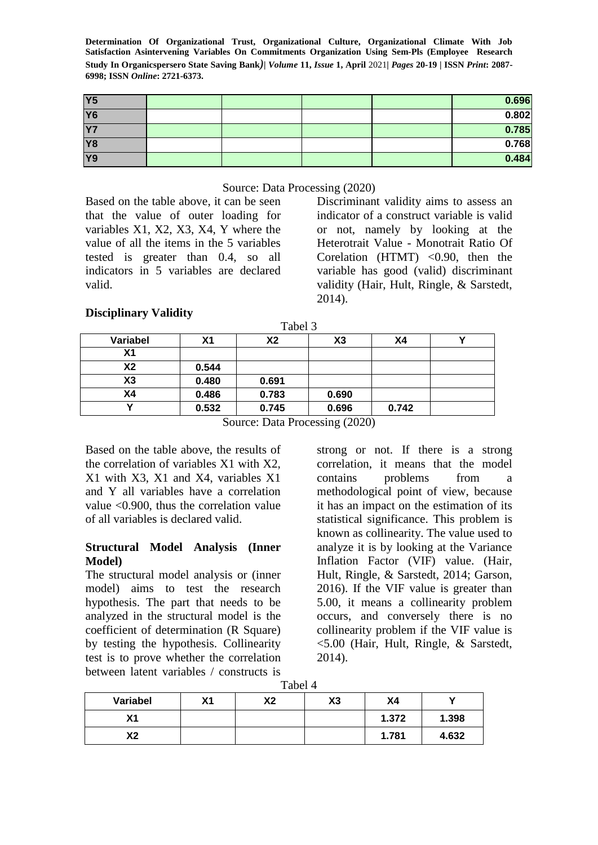| Y <sub>5</sub> |  |  | 0.696 |
|----------------|--|--|-------|
| <b>Y6</b>      |  |  | 0.802 |
| Y7             |  |  | 0.785 |
| <b>Y8</b>      |  |  | 0.768 |
| <b>Y9</b>      |  |  | 0.484 |

#### Source: Data Processing (2020)

Based on the table above, it can be seen that the value of outer loading for variables X1, X2, X3, X4, Y where the value of all the items in the 5 variables tested is greater than 0.4, so all indicators in 5 variables are declared valid.

Discriminant validity aims to assess an indicator of a construct variable is valid or not, namely by looking at the Heterotrait Value - Monotrait Ratio Of Corelation (HTMT)  $< 0.90$ , then the variable has good (valid) discriminant validity (Hair, Hult, Ringle, & Sarstedt, 2014).

# **Disciplinary Validity**

| Variabel       | Χ1    | X2    | X <sub>3</sub> | Χ4    |  |
|----------------|-------|-------|----------------|-------|--|
| Χ1             |       |       |                |       |  |
| X2             | 0.544 |       |                |       |  |
| X <sub>3</sub> | 0.480 | 0.691 |                |       |  |
| Χ4             | 0.486 | 0.783 | 0.690          |       |  |
|                | 0.532 | 0.745 | 0.696          | 0.742 |  |

Source: Data Processing (2020)

Based on the table above, the results of the correlation of variables X1 with X2, X1 with X3, X1 and X4, variables X1 and Y all variables have a correlation value <0.900, thus the correlation value of all variables is declared valid.

### **Structural Model Analysis (Inner Model)**

The structural model analysis or (inner model) aims to test the research hypothesis. The part that needs to be analyzed in the structural model is the coefficient of determination (R Square) by testing the hypothesis. Collinearity test is to prove whether the correlation between latent variables / constructs is

strong or not. If there is a strong correlation, it means that the model contains problems from a methodological point of view, because it has an impact on the estimation of its statistical significance. This problem is known as collinearity. The value used to analyze it is by looking at the Variance Inflation Factor (VIF) value. (Hair, Hult, Ringle, & Sarstedt, 2014; Garson, 2016). If the VIF value is greater than 5.00, it means a collinearity problem occurs, and conversely there is no collinearity problem if the VIF value is <5.00 (Hair, Hult, Ringle, & Sarstedt, 2014).

Tabel 4

| Variabel  | Χ1 | v٥<br>лŁ | X3 | Χ4    |       |
|-----------|----|----------|----|-------|-------|
| v,<br>л і |    |          |    | 1.372 | 1.398 |
| rע<br>ΛŁ  |    |          |    | 1.781 | 4.632 |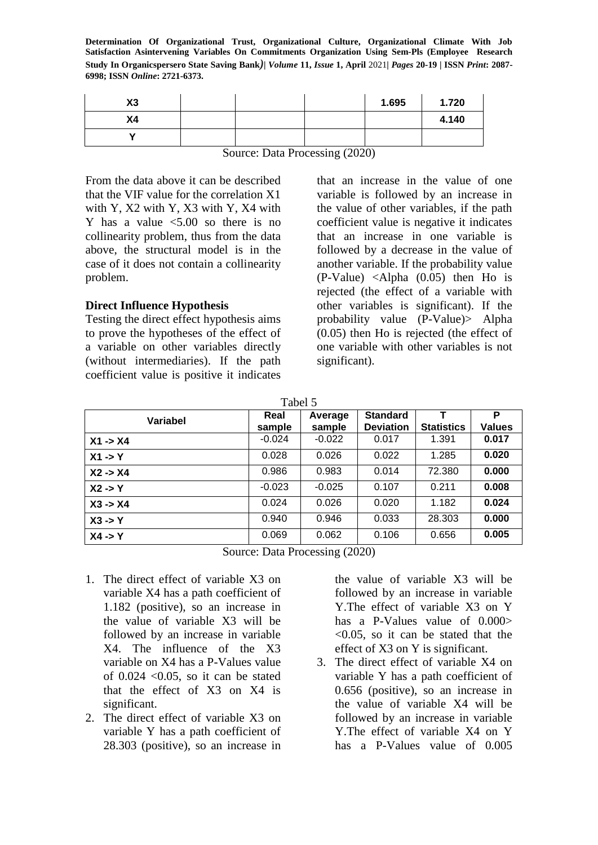| X3             |  | 1.695 | 1.720 |
|----------------|--|-------|-------|
| X <sub>4</sub> |  |       | 4.140 |
|                |  |       |       |

Source: Data Processing (2020)

From the data above it can be described that the VIF value for the correlation X1 with Y, X2 with Y, X3 with Y, X4 with Y has a value  $\leq 5.00$  so there is no collinearity problem, thus from the data above, the structural model is in the case of it does not contain a collinearity problem.

### **Direct Influence Hypothesis**

Testing the direct effect hypothesis aims to prove the hypotheses of the effect of a variable on other variables directly (without intermediaries). If the path coefficient value is positive it indicates

that an increase in the value of one variable is followed by an increase in the value of other variables, if the path coefficient value is negative it indicates that an increase in one variable is followed by a decrease in the value of another variable. If the probability value (P-Value) <Alpha (0.05) then Ho is rejected (the effect of a variable with other variables is significant). If the probability value (P-Value)> Alpha (0.05) then Ho is rejected (the effect of one variable with other variables is not significant).

Tabel 5

| Variabel           | Real<br>sample | Average<br>sample | <b>Standard</b><br><b>Deviation</b> | <b>Statistics</b> | P<br><b>Values</b> |
|--------------------|----------------|-------------------|-------------------------------------|-------------------|--------------------|
| $X1 - > X4$        | $-0.024$       | $-0.022$          | 0.017                               | 1.391             | 0.017              |
| $X1 - Y$           | 0.028          | 0.026             | 0.022                               | 1.285             | 0.020              |
| $X2 - > X4$        | 0.986          | 0.983             | 0.014                               | 72.380            | 0.000              |
| $X2 \rightarrow Y$ | $-0.023$       | $-0.025$          | 0.107                               | 0.211             | 0.008              |
| $X3 - > X4$        | 0.024          | 0.026             | 0.020                               | 1.182             | 0.024              |
| $X3 \rightarrow Y$ | 0.940          | 0.946             | 0.033                               | 28.303            | 0.000              |
| $X4 - Y$           | 0.069          | 0.062             | 0.106                               | 0.656             | 0.005              |

Source: Data Processing (2020)

- 1. The direct effect of variable X3 on variable X4 has a path coefficient of 1.182 (positive), so an increase in the value of variable X3 will be followed by an increase in variable X4. The influence of the X3 variable on X4 has a P-Values value of  $0.024$  < 0.05, so it can be stated that the effect of X3 on X4 is significant.
- 2. The direct effect of variable X3 on variable Y has a path coefficient of 28.303 (positive), so an increase in

the value of variable X3 will be followed by an increase in variable Y.The effect of variable X3 on Y has a P-Values value of  $0.000>$  $< 0.05$ , so it can be stated that the effect of X3 on Y is significant.

3. The direct effect of variable X4 on variable Y has a path coefficient of 0.656 (positive), so an increase in the value of variable X4 will be followed by an increase in variable Y.The effect of variable X4 on Y has a P-Values value of 0.005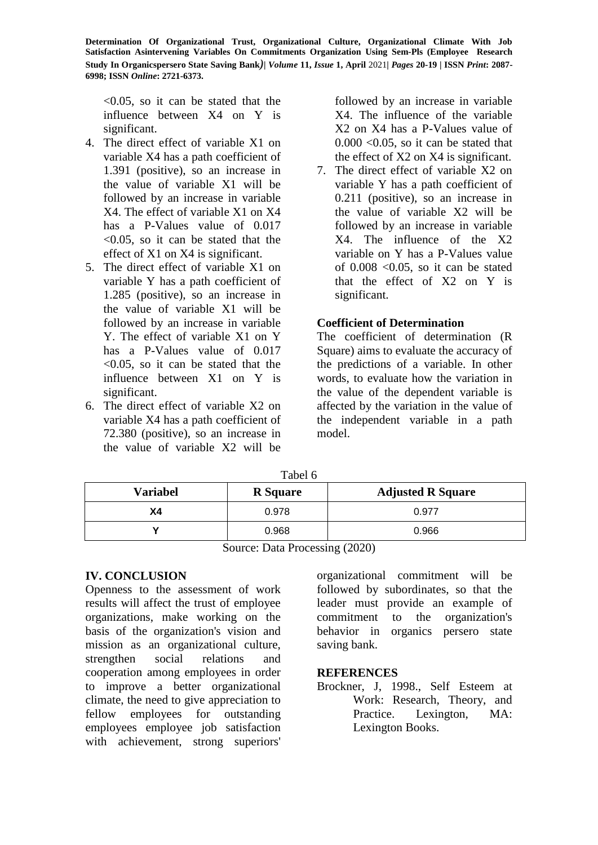$\leq 0.05$ , so it can be stated that the influence between X4 on Y is significant.

- 4. The direct effect of variable X1 on variable X4 has a path coefficient of 1.391 (positive), so an increase in the value of variable X1 will be followed by an increase in variable X4. The effect of variable X1 on X4 has a P-Values value of 0.017 <0.05, so it can be stated that the effect of X1 on X4 is significant.
- 5. The direct effect of variable X1 on variable Y has a path coefficient of 1.285 (positive), so an increase in the value of variable X1 will be followed by an increase in variable Y. The effect of variable X1 on Y has a P-Values value of  $0.017$ <0.05, so it can be stated that the influence between X1 on Y is significant.
- 6. The direct effect of variable X2 on variable X4 has a path coefficient of 72.380 (positive), so an increase in the value of variable X2 will be

followed by an increase in variable X4. The influence of the variable X2 on X4 has a P-Values value of  $0.000 \leq 0.05$ , so it can be stated that the effect of X2 on X4 is significant.

7. The direct effect of variable X2 on variable Y has a path coefficient of 0.211 (positive), so an increase in the value of variable X2 will be followed by an increase in variable X4. The influence of the X2 variable on Y has a P-Values value of  $0.008$  <  $0.05$ , so it can be stated that the effect of X2 on Y is significant.

# **Coefficient of Determination**

The coefficient of determination (R Square) aims to evaluate the accuracy of the predictions of a variable. In other words, to evaluate how the variation in the value of the dependent variable is affected by the variation in the value of the independent variable in a path model.

| <b>Variabel</b> | <b>R</b> Square | <b>Adjusted R Square</b> |
|-----------------|-----------------|--------------------------|
| Χ4              | 0.978           | 0.977                    |
|                 | 0.968           | 0.966                    |

 $T_{\text{obs}}1\epsilon$ 

Source: Data Processing (2020)

# **IV. CONCLUSION**

Openness to the assessment of work results will affect the trust of employee organizations, make working on the basis of the organization's vision and mission as an organizational culture, strengthen social relations and cooperation among employees in order to improve a better organizational climate, the need to give appreciation to fellow employees for outstanding employees employee job satisfaction with achievement, strong superiors'

organizational commitment will be followed by subordinates, so that the leader must provide an example of commitment to the organization's behavior in organics persero state saving bank.

### **REFERENCES**

Brockner, J, 1998., Self Esteem at Work: Research, Theory, and Practice. Lexington, MA: Lexington Books.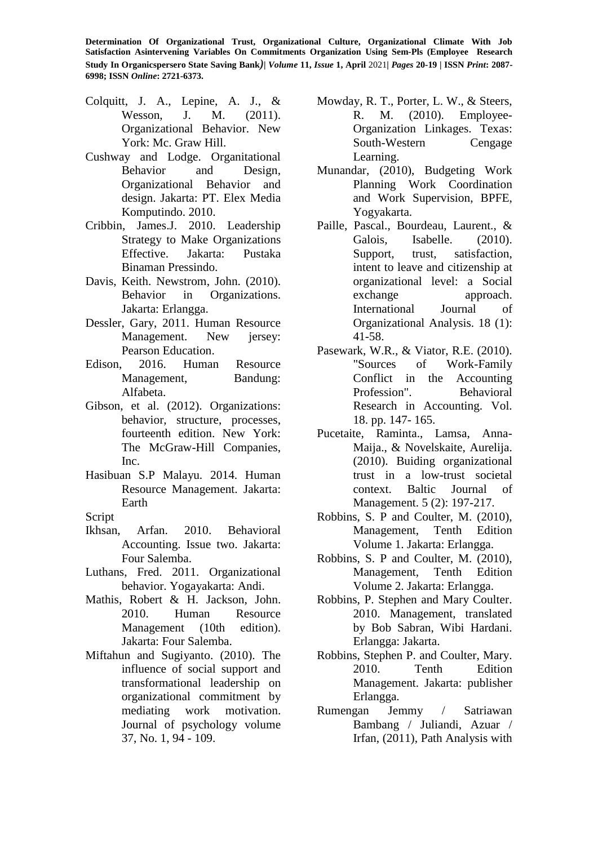- Colquitt, J. A., Lepine, A. J., & Wesson, J. M. (2011). Organizational Behavior. New York: Mc. Graw Hill.
- Cushway and Lodge. Organitational Behavior and Design, Organizational Behavior and design. Jakarta: PT. Elex Media Komputindo. 2010.
- Cribbin, James.J. 2010. Leadership Strategy to Make Organizations Effective. Jakarta: Pustaka Binaman Pressindo.
- Davis, Keith. Newstrom, John. (2010). Behavior in Organizations. Jakarta: Erlangga.
- Dessler, Gary, 2011. Human Resource Management. New jersey: Pearson Education.
- Edison, 2016. Human Resource Management, Bandung: Alfabeta.
- Gibson, et al. (2012). Organizations: behavior, structure, processes, fourteenth edition. New York: The McGraw-Hill Companies, Inc.
- Hasibuan S.P Malayu. 2014. Human Resource Management. Jakarta: Earth

Script

- Ikhsan, Arfan. 2010. Behavioral Accounting. Issue two. Jakarta: Four Salemba.
- Luthans, Fred. 2011. Organizational behavior. Yogayakarta: Andi.
- Mathis, Robert & H. Jackson, John. 2010. Human Resource Management (10th edition). Jakarta: Four Salemba.
- Miftahun and Sugiyanto. (2010). The influence of social support and transformational leadership on organizational commitment by mediating work motivation. Journal of psychology volume 37, No. 1, 94 - 109.
- Mowday, R. T., Porter, L. W., & Steers, R. M. (2010). Employee-Organization Linkages. Texas: South-Western Cengage Learning.
- Munandar, (2010), Budgeting Work Planning Work Coordination and Work Supervision, BPFE, Yogyakarta.
- Paille, Pascal., Bourdeau, Laurent., & Galois. Isabelle. (2010). Support, trust, satisfaction, intent to leave and citizenship at organizational level: a Social exchange approach. International Journal of Organizational Analysis. 18 (1): 41-58.
- Pasewark, W.R., & Viator, R.E. (2010). "Sources of Work-Family Conflict in the Accounting Profession". Behavioral Research in Accounting. Vol. 18. pp. 147- 165.
- Pucetaite, Raminta., Lamsa, Anna-Maija., & Novelskaite, Aurelija. (2010). Buiding organizational trust in a low-trust societal context. Baltic Journal of Management. 5 (2): 197-217.
- Robbins, S. P and Coulter, M. (2010), Management, Tenth Edition Volume 1. Jakarta: Erlangga.
- Robbins, S. P and Coulter, M. (2010), Management, Tenth Edition Volume 2. Jakarta: Erlangga.
- Robbins, P. Stephen and Mary Coulter. 2010. Management, translated by Bob Sabran, Wibi Hardani. Erlangga: Jakarta.
- Robbins, Stephen P. and Coulter, Mary. 2010. Tenth Edition Management. Jakarta: publisher Erlangga.
- Rumengan Jemmy / Satriawan Bambang / Juliandi, Azuar / Irfan, (2011), Path Analysis with